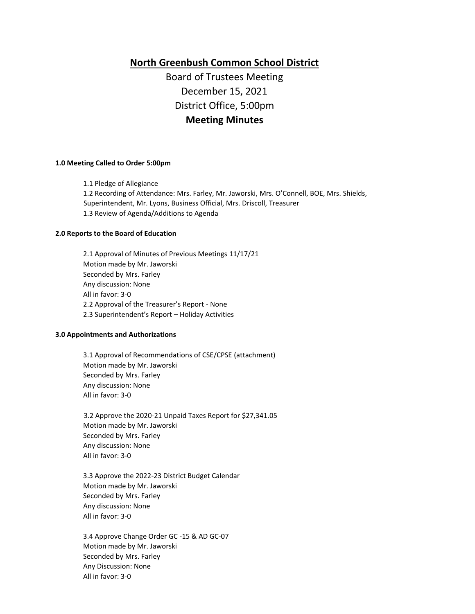**North Greenbush Common School District**

Board of Trustees Meeting December 15, 2021 District Office, 5:00pm **Meeting Minutes**

#### **1.0 Meeting Called to Order 5:00pm**

1.1 Pledge of Allegiance 1.2 Recording of Attendance: Mrs. Farley, Mr. Jaworski, Mrs. O'Connell, BOE, Mrs. Shields, Superintendent, Mr. Lyons, Business Official, Mrs. Driscoll, Treasurer 1.3 Review of Agenda/Additions to Agenda

#### **2.0 Reports to the Board of Education**

2.1 Approval of Minutes of Previous Meetings 11/17/21 Motion made by Mr. Jaworski Seconded by Mrs. Farley Any discussion: None All in favor: 3-0 2.2 Approval of the Treasurer's Report - None 2.3 Superintendent's Report – Holiday Activities

#### **3.0 Appointments and Authorizations**

3.1 Approval of Recommendations of CSE/CPSE (attachment) Motion made by Mr. Jaworski Seconded by Mrs. Farley Any discussion: None All in favor: 3-0

3.2 Approve the 2020-21 Unpaid Taxes Report for \$27,341.05 Motion made by Mr. Jaworski Seconded by Mrs. Farley Any discussion: None All in favor: 3-0

3.3 Approve the 2022-23 District Budget Calendar Motion made by Mr. Jaworski Seconded by Mrs. Farley Any discussion: None All in favor: 3-0

3.4 Approve Change Order GC -15 & AD GC-07 Motion made by Mr. Jaworski Seconded by Mrs. Farley Any Discussion: None All in favor: 3-0